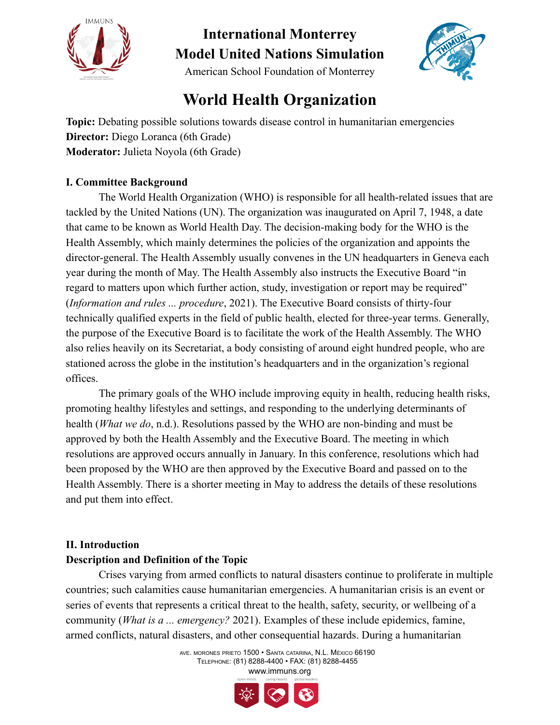



### American School Foundation of Monterrey

### **World Health Organization**

**Topic:** Debating possible solutions towards disease control in humanitarian emergencies **Director:** Diego Loranca (6th Grade) **Moderator:** Julieta Noyola (6th Grade)

#### **I. Committee Background**

The World Health Organization (WHO) is responsible for all health-related issues that are tackled by the United Nations (UN). The organization was inaugurated on April 7, 1948, a date that came to be known as World Health Day. The decision-making body for the WHO is the Health Assembly, which mainly determines the policies of the organization and appoints the director-general. The Health Assembly usually convenes in the UN headquarters in Geneva each year during the month of May. The Health Assembly also instructs the Executive Board "in regard to matters upon which further action, study, investigation or report may be required" (*Information and rules ... procedure*, 2021). The Executive Board consists of thirty-four technically qualified experts in the field of public health, elected for three-year terms. Generally, the purpose of the Executive Board is to facilitate the work of the Health Assembly. The WHO also relies heavily on its Secretariat, a body consisting of around eight hundred people, who are stationed across the globe in the institution's headquarters and in the organization's regional offices.

The primary goals of the WHO include improving equity in health, reducing health risks, promoting healthy lifestyles and settings, and responding to the underlying determinants of health (*What we do*, n.d.). Resolutions passed by the WHO are non-binding and must be approved by both the Health Assembly and the Executive Board. The meeting in which resolutions are approved occurs annually in January. In this conference, resolutions which had been proposed by the WHO are then approved by the Executive Board and passed on to the Health Assembly. There is a shorter meeting in May to address the details of these resolutions and put them into effect.

#### **II. Introduction**

#### **Description and Definition of the Topic**

Crises varying from armed conflicts to natural disasters continue to proliferate in multiple countries; such calamities cause humanitarian emergencies. A humanitarian crisis is an event or series of events that represents a critical threat to the health, safety, security, or wellbeing of a community (*What is a ... emergency?* 2021). Examples of these include epidemics, famine, armed conflicts, natural disasters, and other consequential hazards. During a humanitarian

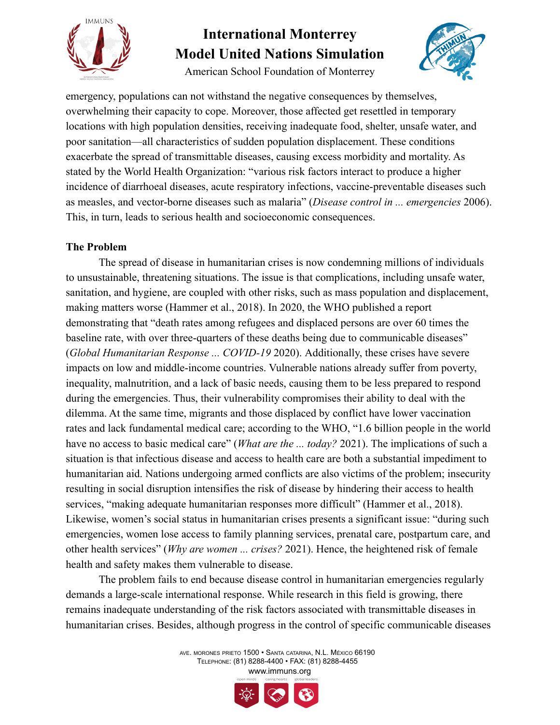

American School Foundation of Monterrey



emergency, populations can not withstand the negative consequences by themselves, overwhelming their capacity to cope. Moreover, those affected get resettled in temporary locations with high population densities, receiving inadequate food, shelter, unsafe water, and poor sanitation—all characteristics of sudden population displacement. These conditions exacerbate the spread of transmittable diseases, causing excess morbidity and mortality. As stated by the World Health Organization: "various risk factors interact to produce a higher incidence of diarrhoeal diseases, acute respiratory infections, vaccine-preventable diseases such as measles, and vector-borne diseases such as malaria" (*Disease control in ... emergencies* 2006). This, in turn, leads to serious health and socioeconomic consequences.

#### **The Problem**

The spread of disease in humanitarian crises is now condemning millions of individuals to unsustainable, threatening situations. The issue is that complications, including unsafe water, sanitation, and hygiene, are coupled with other risks, such as mass population and displacement, making matters worse (Hammer et al., 2018). In 2020, the WHO published a report demonstrating that "death rates among refugees and displaced persons are over 60 times the baseline rate, with over three-quarters of these deaths being due to communicable diseases" (*Global Humanitarian Response ... COVID-19* 2020). Additionally, these crises have severe impacts on low and middle-income countries. Vulnerable nations already suffer from poverty, inequality, malnutrition, and a lack of basic needs, causing them to be less prepared to respond during the emergencies. Thus, their vulnerability compromises their ability to deal with the dilemma. At the same time, migrants and those displaced by conflict have lower vaccination rates and lack fundamental medical care; according to the WHO, "1.6 billion people in the world have no access to basic medical care" (*What are the ... today?* 2021). The implications of such a situation is that infectious disease and access to health care are both a substantial impediment to humanitarian aid. Nations undergoing armed conflicts are also victims of the problem; insecurity resulting in social disruption intensifies the risk of disease by hindering their access to health services, "making adequate humanitarian responses more difficult" (Hammer et al., 2018). Likewise, women's social status in humanitarian crises presents a significant issue: "during such emergencies, women lose access to family planning services, prenatal care, postpartum care, and other health services" (*Why are women ... crises?* 2021). Hence, the heightened risk of female health and safety makes them vulnerable to disease.

The problem fails to end because disease control in humanitarian emergencies regularly demands a large-scale international response. While research in this field is growing, there remains inadequate understanding of the risk factors associated with transmittable diseases in humanitarian crises. Besides, although progress in the control of specific communicable diseases

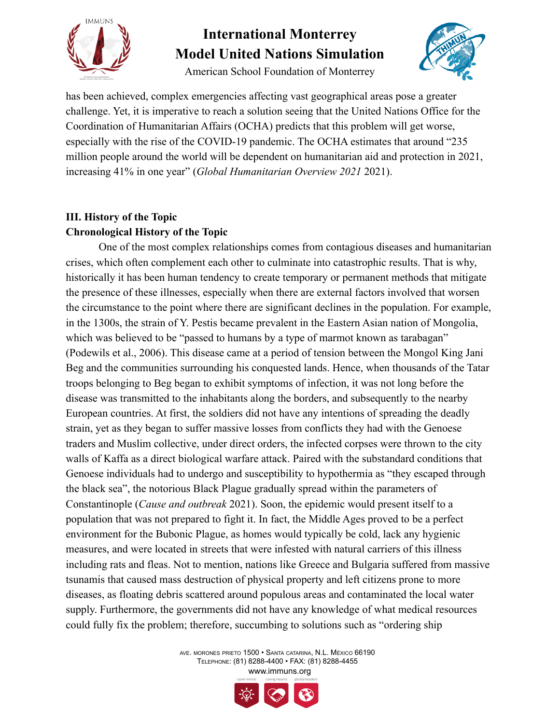

American School Foundation of Monterrey



has been achieved, complex emergencies affecting vast geographical areas pose a greater challenge. Yet, it is imperative to reach a solution seeing that the United Nations Office for the Coordination of Humanitarian Affairs (OCHA) predicts that this problem will get worse, especially with the rise of the COVID-19 pandemic. The OCHA estimates that around "235 million people around the world will be dependent on humanitarian aid and protection in 2021, increasing 41% in one year" (*Global Humanitarian Overview 2021* 2021).

### **III. History of the Topic Chronological History of the Topic**

One of the most complex relationships comes from contagious diseases and humanitarian crises, which often complement each other to culminate into catastrophic results. That is why, historically it has been human tendency to create temporary or permanent methods that mitigate the presence of these illnesses, especially when there are external factors involved that worsen the circumstance to the point where there are significant declines in the population. For example, in the 1300s, the strain of Y. Pestis became prevalent in the Eastern Asian nation of Mongolia, which was believed to be "passed to humans by a type of marmot known as tarabagan" (Podewils et al., 2006). This disease came at a period of tension between the Mongol King Jani Beg and the communities surrounding his conquested lands. Hence, when thousands of the Tatar troops belonging to Beg began to exhibit symptoms of infection, it was not long before the disease was transmitted to the inhabitants along the borders, and subsequently to the nearby European countries. At first, the soldiers did not have any intentions of spreading the deadly strain, yet as they began to suffer massive losses from conflicts they had with the Genoese traders and Muslim collective, under direct orders, the infected corpses were thrown to the city walls of Kaffa as a direct biological warfare attack. Paired with the substandard conditions that Genoese individuals had to undergo and susceptibility to hypothermia as "they escaped through the black sea", the notorious Black Plague gradually spread within the parameters of Constantinople (*Cause and outbreak* 2021). Soon, the epidemic would present itself to a population that was not prepared to fight it. In fact, the Middle Ages proved to be a perfect environment for the Bubonic Plague, as homes would typically be cold, lack any hygienic measures, and were located in streets that were infested with natural carriers of this illness including rats and fleas. Not to mention, nations like Greece and Bulgaria suffered from massive tsunamis that caused mass destruction of physical property and left citizens prone to more diseases, as floating debris scattered around populous areas and contaminated the local water supply. Furthermore, the governments did not have any knowledge of what medical resources could fully fix the problem; therefore, succumbing to solutions such as "ordering ship

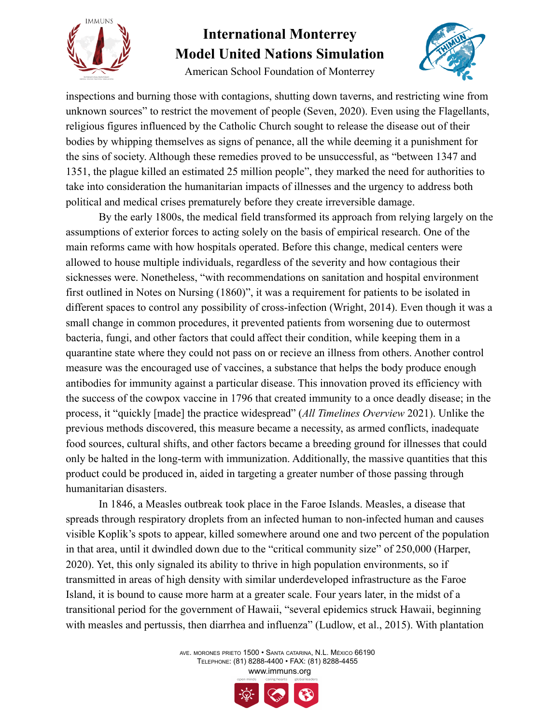

American School Foundation of Monterrey



inspections and burning those with contagions, shutting down taverns, and restricting wine from unknown sources" to restrict the movement of people (Seven, 2020). Even using the Flagellants, religious figures influenced by the Catholic Church sought to release the disease out of their bodies by whipping themselves as signs of penance, all the while deeming it a punishment for the sins of society. Although these remedies proved to be unsuccessful, as "between 1347 and 1351, the plague killed an estimated 25 million people", they marked the need for authorities to take into consideration the humanitarian impacts of illnesses and the urgency to address both political and medical crises prematurely before they create irreversible damage.

By the early 1800s, the medical field transformed its approach from relying largely on the assumptions of exterior forces to acting solely on the basis of empirical research. One of the main reforms came with how hospitals operated. Before this change, medical centers were allowed to house multiple individuals, regardless of the severity and how contagious their sicknesses were. Nonetheless, "with recommendations on sanitation and hospital environment first outlined in Notes on Nursing (1860)", it was a requirement for patients to be isolated in different spaces to control any possibility of cross-infection (Wright, 2014). Even though it was a small change in common procedures, it prevented patients from worsening due to outermost bacteria, fungi, and other factors that could affect their condition, while keeping them in a quarantine state where they could not pass on or recieve an illness from others. Another control measure was the encouraged use of vaccines, a substance that helps the body produce enough antibodies for immunity against a particular disease. This innovation proved its efficiency with the success of the cowpox vaccine in 1796 that created immunity to a once deadly disease; in the process, it "quickly [made] the practice widespread" (*All Timelines Overview* 2021). Unlike the previous methods discovered, this measure became a necessity, as armed conflicts, inadequate food sources, cultural shifts, and other factors became a breeding ground for illnesses that could only be halted in the long-term with immunization. Additionally, the massive quantities that this product could be produced in, aided in targeting a greater number of those passing through humanitarian disasters.

In 1846, a Measles outbreak took place in the Faroe Islands. Measles, a disease that spreads through respiratory droplets from an infected human to non-infected human and causes visible Koplik's spots to appear, killed somewhere around one and two percent of the population in that area, until it dwindled down due to the "critical community size" of 250,000 (Harper, 2020). Yet, this only signaled its ability to thrive in high population environments, so if transmitted in areas of high density with similar underdeveloped infrastructure as the Faroe Island, it is bound to cause more harm at a greater scale. Four years later, in the midst of a transitional period for the government of Hawaii, "several epidemics struck Hawaii, beginning with measles and pertussis, then diarrhea and influenza" (Ludlow, et al., 2015). With plantation

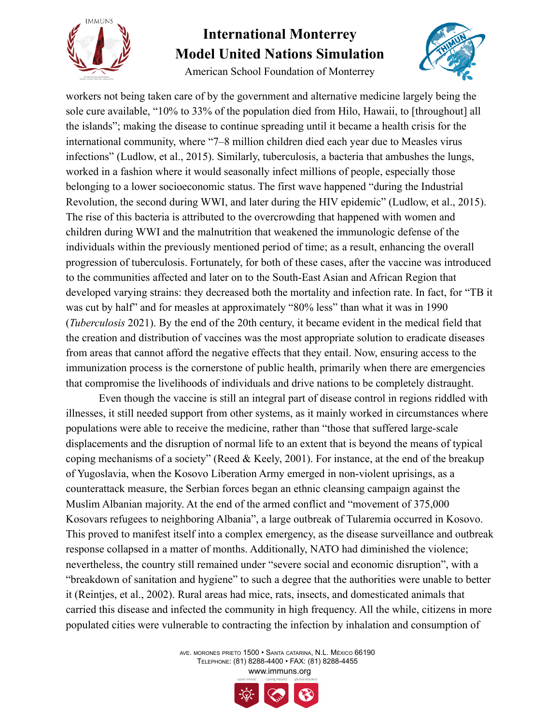

American School Foundation of Monterrey



workers not being taken care of by the government and alternative medicine largely being the sole cure available, "10% to 33% of the population died from Hilo, Hawaii, to [throughout] all the islands"; making the disease to continue spreading until it became a health crisis for the international community, where "7–8 million children died each year due to Measles virus infections" (Ludlow, et al., 2015). Similarly, tuberculosis, a bacteria that ambushes the lungs, worked in a fashion where it would seasonally infect millions of people, especially those belonging to a lower socioeconomic status. The first wave happened "during the Industrial Revolution, the second during WWI, and later during the HIV epidemic" (Ludlow, et al., 2015). The rise of this bacteria is attributed to the overcrowding that happened with women and children during WWI and the malnutrition that weakened the immunologic defense of the individuals within the previously mentioned period of time; as a result, enhancing the overall progression of tuberculosis. Fortunately, for both of these cases, after the vaccine was introduced to the communities affected and later on to the South-East Asian and African Region that developed varying strains: they decreased both the mortality and infection rate. In fact, for "TB it was cut by half" and for measles at approximately "80% less" than what it was in 1990 (*Tuberculosis* 2021). By the end of the 20th century, it became evident in the medical field that the creation and distribution of vaccines was the most appropriate solution to eradicate diseases from areas that cannot afford the negative effects that they entail. Now, ensuring access to the immunization process is the cornerstone of public health, primarily when there are emergencies that compromise the livelihoods of individuals and drive nations to be completely distraught.

Even though the vaccine is still an integral part of disease control in regions riddled with illnesses, it still needed support from other systems, as it mainly worked in circumstances where populations were able to receive the medicine, rather than "those that suffered large-scale displacements and the disruption of normal life to an extent that is beyond the means of typical coping mechanisms of a society" (Reed & Keely, 2001). For instance, at the end of the breakup of Yugoslavia, when the Kosovo Liberation Army emerged in non-violent uprisings, as a counterattack measure, the Serbian forces began an ethnic cleansing campaign against the Muslim Albanian majority. At the end of the armed conflict and "movement of 375,000 Kosovars refugees to neighboring Albania", a large outbreak of Tularemia occurred in Kosovo. This proved to manifest itself into a complex emergency, as the disease surveillance and outbreak response collapsed in a matter of months. Additionally, NATO had diminished the violence; nevertheless, the country still remained under "severe social and economic disruption", with a "breakdown of sanitation and hygiene" to such a degree that the authorities were unable to better it (Reintjes, et al., 2002). Rural areas had mice, rats, insects, and domesticated animals that carried this disease and infected the community in high frequency. All the while, citizens in more populated cities were vulnerable to contracting the infection by inhalation and consumption of

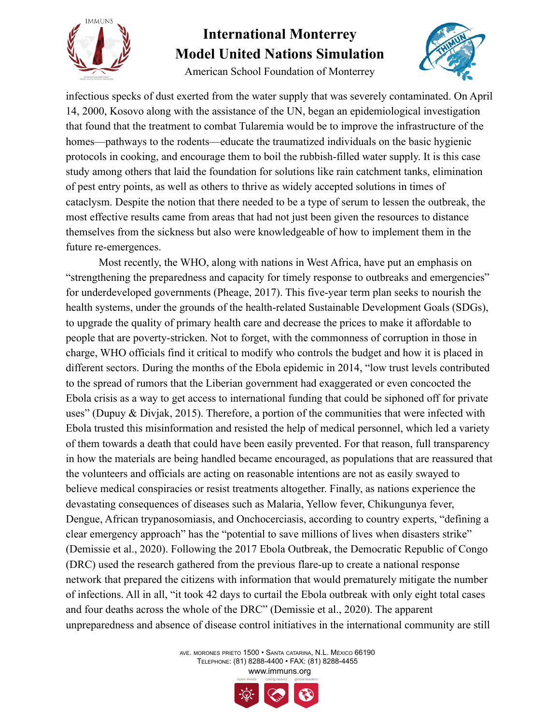

American School Foundation of Monterrey



infectious specks of dust exerted from the water supply that was severely contaminated. On April 14, 2000, Kosovo along with the assistance of the UN, began an epidemiological investigation that found that the treatment to combat Tularemia would be to improve the infrastructure of the homes—pathways to the rodents—educate the traumatized individuals on the basic hygienic protocols in cooking, and encourage them to boil the rubbish-filled water supply. It is this case study among others that laid the foundation for solutions like rain catchment tanks, elimination of pest entry points, as well as others to thrive as widely accepted solutions in times of cataclysm. Despite the notion that there needed to be a type of serum to lessen the outbreak, the most effective results came from areas that had not just been given the resources to distance themselves from the sickness but also were knowledgeable of how to implement them in the future re-emergences.

Most recently, the WHO, along with nations in West Africa, have put an emphasis on "strengthening the preparedness and capacity for timely response to outbreaks and emergencies" for underdeveloped governments (Pheage, 2017). This five-year term plan seeks to nourish the health systems, under the grounds of the health-related Sustainable Development Goals (SDGs), to upgrade the quality of primary health care and decrease the prices to make it affordable to people that are poverty-stricken. Not to forget, with the commonness of corruption in those in charge, WHO officials find it critical to modify who controls the budget and how it is placed in different sectors. During the months of the Ebola epidemic in 2014, "low trust levels contributed to the spread of rumors that the Liberian government had exaggerated or even concocted the Ebola crisis as a way to get access to international funding that could be siphoned off for private uses" (Dupuy & Divjak, 2015). Therefore, a portion of the communities that were infected with Ebola trusted this misinformation and resisted the help of medical personnel, which led a variety of them towards a death that could have been easily prevented. For that reason, full transparency in how the materials are being handled became encouraged, as populations that are reassured that the volunteers and officials are acting on reasonable intentions are not as easily swayed to believe medical conspiracies or resist treatments altogether. Finally, as nations experience the devastating consequences of diseases such as Malaria, Yellow fever, Chikungunya fever, Dengue, African trypanosomiasis, and Onchocerciasis, according to country experts, "defining a clear emergency approach" has the "potential to save millions of lives when disasters strike" (Demissie et al., 2020). Following the 2017 Ebola Outbreak, the Democratic Republic of Congo (DRC) used the research gathered from the previous flare-up to create a national response network that prepared the citizens with information that would prematurely mitigate the number of infections. All in all, "it took 42 days to curtail the Ebola outbreak with only eight total cases and four deaths across the whole of the DRC" (Demissie et al., 2020). The apparent unpreparedness and absence of disease control initiatives in the international community are still

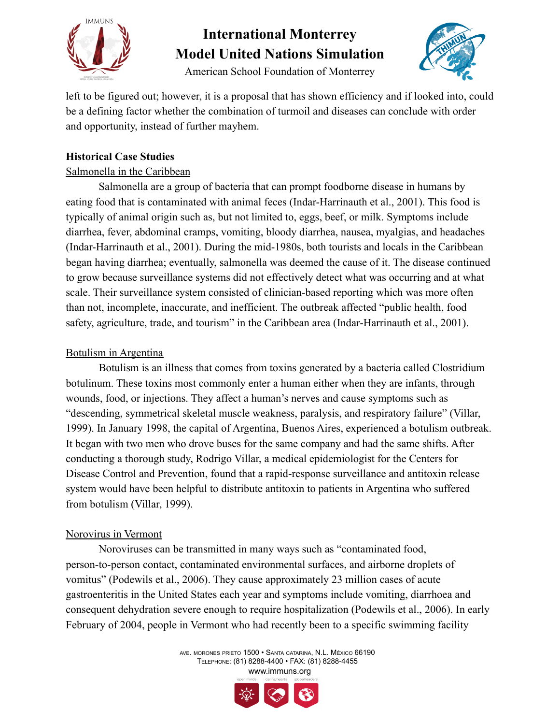

American School Foundation of Monterrey



left to be figured out; however, it is a proposal that has shown efficiency and if looked into, could be a defining factor whether the combination of turmoil and diseases can conclude with order and opportunity, instead of further mayhem.

#### **Historical Case Studies**

### Salmonella in the Caribbean

Salmonella are a group of bacteria that can prompt foodborne disease in humans by eating food that is contaminated with animal feces (Indar-Harrinauth et al., 2001). This food is typically of animal origin such as, but not limited to, eggs, beef, or milk. Symptoms include diarrhea, fever, abdominal cramps, vomiting, bloody diarrhea, nausea, myalgias, and headaches (Indar-Harrinauth et al., 2001). During the mid-1980s, both tourists and locals in the Caribbean began having diarrhea; eventually, salmonella was deemed the cause of it. The disease continued to grow because surveillance systems did not effectively detect what was occurring and at what scale. Their surveillance system consisted of clinician-based reporting which was more often than not, incomplete, inaccurate, and inefficient. The outbreak affected "public health, food safety, agriculture, trade, and tourism" in the Caribbean area (Indar-Harrinauth et al., 2001).

#### Botulism in Argentina

Botulism is an illness that comes from toxins generated by a bacteria called Clostridium botulinum. These toxins most commonly enter a human either when they are infants, through wounds, food, or injections. They affect a human's nerves and cause symptoms such as "descending, symmetrical skeletal muscle weakness, paralysis, and respiratory failure" (Villar, 1999). In January 1998, the capital of Argentina, Buenos Aires, experienced a botulism outbreak. It began with two men who drove buses for the same company and had the same shifts. After conducting a thorough study, Rodrigo Villar, a medical epidemiologist for the Centers for Disease Control and Prevention, found that a rapid-response surveillance and antitoxin release system would have been helpful to distribute antitoxin to patients in Argentina who suffered from botulism (Villar, 1999).

#### Norovirus in Vermont

Noroviruses can be transmitted in many ways such as "contaminated food, person-to-person contact, contaminated environmental surfaces, and airborne droplets of vomitus" (Podewils et al., 2006). They cause approximately 23 million cases of acute gastroenteritis in the United States each year and symptoms include vomiting, diarrhoea and consequent dehydration severe enough to require hospitalization (Podewils et al., 2006). In early February of 2004, people in Vermont who had recently been to a specific swimming facility

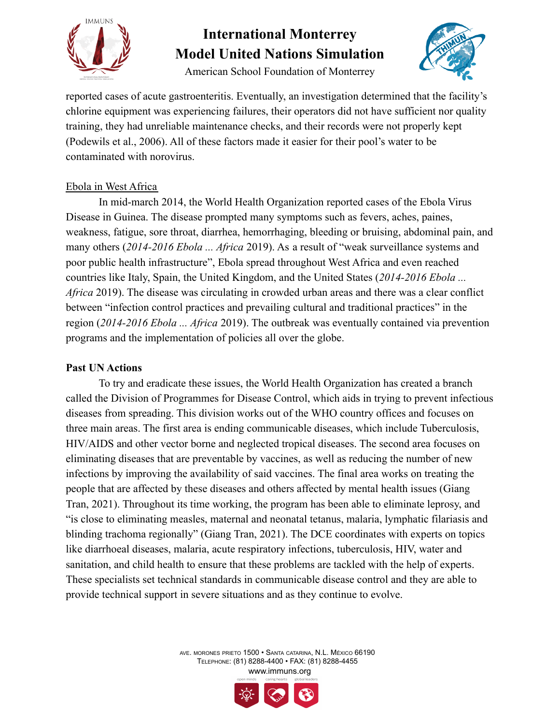

American School Foundation of Monterrey



reported cases of acute gastroenteritis. Eventually, an investigation determined that the facility's chlorine equipment was experiencing failures, their operators did not have sufficient nor quality training, they had unreliable maintenance checks, and their records were not properly kept (Podewils et al., 2006). All of these factors made it easier for their pool's water to be contaminated with norovirus.

#### Ebola in West Africa

In mid-march 2014, the World Health Organization reported cases of the Ebola Virus Disease in Guinea. The disease prompted many symptoms such as fevers, aches, paines, weakness, fatigue, sore throat, diarrhea, hemorrhaging, bleeding or bruising, abdominal pain, and many others (*2014-2016 Ebola ... Africa* 2019). As a result of "weak surveillance systems and poor public health infrastructure", Ebola spread throughout West Africa and even reached countries like Italy, Spain, the United Kingdom, and the United States (*2014-2016 Ebola ... Africa* 2019). The disease was circulating in crowded urban areas and there was a clear conflict between "infection control practices and prevailing cultural and traditional practices" in the region (*2014-2016 Ebola ... Africa* 2019). The outbreak was eventually contained via prevention programs and the implementation of policies all over the globe.

#### **Past UN Actions**

To try and eradicate these issues, the World Health Organization has created a branch called the Division of Programmes for Disease Control, which aids in trying to prevent infectious diseases from spreading. This division works out of the WHO country offices and focuses on three main areas. The first area is ending communicable diseases, which include Tuberculosis, HIV/AIDS and other vector borne and neglected tropical diseases. The second area focuses on eliminating diseases that are preventable by vaccines, as well as reducing the number of new infections by improving the availability of said vaccines. The final area works on treating the people that are affected by these diseases and others affected by mental health issues (Giang Tran, 2021). Throughout its time working, the program has been able to eliminate leprosy, and "is close to eliminating measles, maternal and neonatal tetanus, malaria, lymphatic filariasis and blinding trachoma regionally" (Giang Tran, 2021). The DCE coordinates with experts on topics like diarrhoeal diseases, malaria, acute respiratory infections, tuberculosis, HIV, water and sanitation, and child health to ensure that these problems are tackled with the help of experts. These specialists set technical standards in communicable disease control and they are able to provide technical support in severe situations and as they continue to evolve.

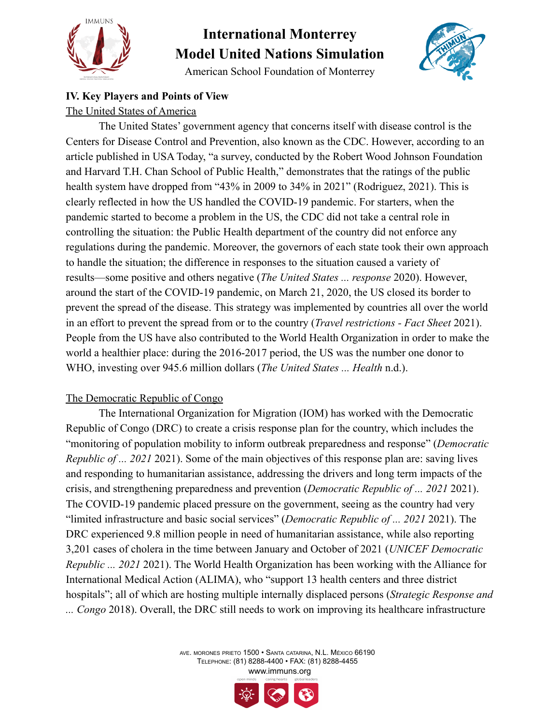

American School Foundation of Monterrey



### **IV. Key Players and Points of View**

#### The United States of America

The United States' government agency that concerns itself with disease control is the Centers for Disease Control and Prevention, also known as the CDC. However, according to an article published in USA Today, "a survey, conducted by the Robert Wood Johnson Foundation and Harvard T.H. Chan School of Public Health," demonstrates that the ratings of the public health system have dropped from "43% in 2009 to 34% in 2021" (Rodriguez, 2021). This is clearly reflected in how the US handled the COVID-19 pandemic. For starters, when the pandemic started to become a problem in the US, the CDC did not take a central role in controlling the situation: the Public Health department of the country did not enforce any regulations during the pandemic. Moreover, the governors of each state took their own approach to handle the situation; the difference in responses to the situation caused a variety of results—some positive and others negative (*The United States ... response* 2020). However, around the start of the COVID-19 pandemic, on March 21, 2020, the US closed its border to prevent the spread of the disease. This strategy was implemented by countries all over the world in an effort to prevent the spread from or to the country (*Travel restrictions - Fact Sheet* 2021). People from the US have also contributed to the World Health Organization in order to make the world a healthier place: during the 2016-2017 period, the US was the number one donor to WHO, investing over 945.6 million dollars (*The United States ... Health* n.d.).

#### The Democratic Republic of Congo

The International Organization for Migration (IOM) has worked with the Democratic Republic of Congo (DRC) to create a crisis response plan for the country, which includes the "monitoring of population mobility to inform outbreak preparedness and response" (*Democratic Republic of ... 2021* 2021). Some of the main objectives of this response plan are: saving lives and responding to humanitarian assistance, addressing the drivers and long term impacts of the crisis, and strengthening preparedness and prevention (*Democratic Republic of ... 2021* 2021). The COVID-19 pandemic placed pressure on the government, seeing as the country had very "limited infrastructure and basic social services" (*Democratic Republic of ... 2021* 2021). The DRC experienced 9.8 million people in need of humanitarian assistance, while also reporting 3,201 cases of cholera in the time between January and October of 2021 (*UNICEF Democratic Republic ... 2021* 2021). The World Health Organization has been working with the Alliance for International Medical Action (ALIMA), who "support 13 health centers and three district hospitals"; all of which are hosting multiple internally displaced persons (*Strategic Response and ... Congo* 2018). Overall, the DRC still needs to work on improving its healthcare infrastructure

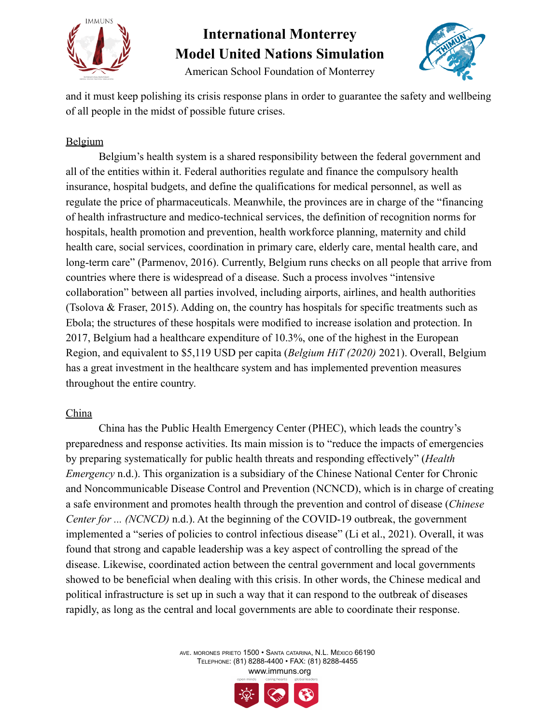



American School Foundation of Monterrey

and it must keep polishing its crisis response plans in order to guarantee the safety and wellbeing of all people in the midst of possible future crises.

### Belgium

Belgium's health system is a shared responsibility between the federal government and all of the entities within it. Federal authorities regulate and finance the compulsory health insurance, hospital budgets, and define the qualifications for medical personnel, as well as regulate the price of pharmaceuticals. Meanwhile, the provinces are in charge of the "financing of health infrastructure and medico-technical services, the definition of recognition norms for hospitals, health promotion and prevention, health workforce planning, maternity and child health care, social services, coordination in primary care, elderly care, mental health care, and long-term care" (Parmenov, 2016). Currently, Belgium runs checks on all people that arrive from countries where there is widespread of a disease. Such a process involves "intensive collaboration" between all parties involved, including airports, airlines, and health authorities (Tsolova & Fraser, 2015). Adding on, the country has hospitals for specific treatments such as Ebola; the structures of these hospitals were modified to increase isolation and protection. In 2017, Belgium had a healthcare expenditure of 10.3%, one of the highest in the European Region, and equivalent to \$5,119 USD per capita (*Belgium HiT (2020)* 2021). Overall, Belgium has a great investment in the healthcare system and has implemented prevention measures throughout the entire country.

#### China

China has the Public Health Emergency Center (PHEC), which leads the country's preparedness and response activities. Its main mission is to "reduce the impacts of emergencies by preparing systematically for public health threats and responding effectively" (*Health Emergency* n.d.). This organization is a subsidiary of the Chinese National Center for Chronic and Noncommunicable Disease Control and Prevention (NCNCD), which is in charge of creating a safe environment and promotes health through the prevention and control of disease (*Chinese Center for ... (NCNCD)* n.d.). At the beginning of the COVID-19 outbreak, the government implemented a "series of policies to control infectious disease" (Li et al., 2021). Overall, it was found that strong and capable leadership was a key aspect of controlling the spread of the disease. Likewise, coordinated action between the central government and local governments showed to be beneficial when dealing with this crisis. In other words, the Chinese medical and political infrastructure is set up in such a way that it can respond to the outbreak of diseases rapidly, as long as the central and local governments are able to coordinate their response.

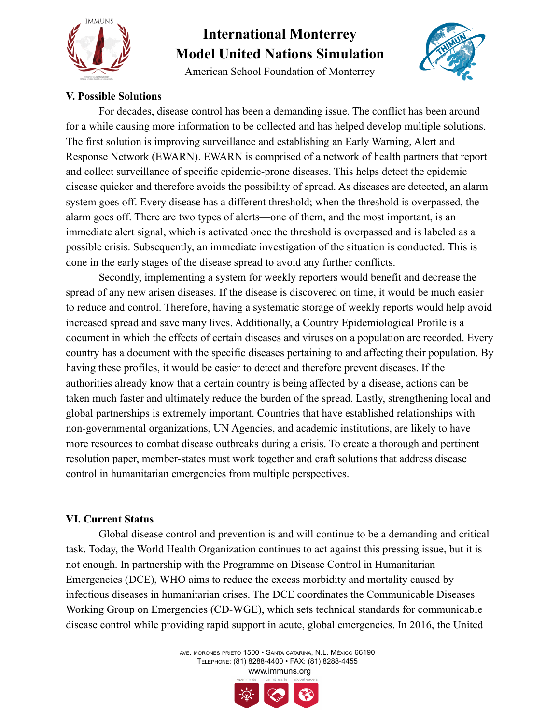

American School Foundation of Monterrey



#### **V. Possible Solutions**

For decades, disease control has been a demanding issue. The conflict has been around for a while causing more information to be collected and has helped develop multiple solutions. The first solution is improving surveillance and establishing an Early Warning, Alert and Response Network (EWARN). EWARN is comprised of a network of health partners that report and collect surveillance of specific epidemic-prone diseases. This helps detect the epidemic disease quicker and therefore avoids the possibility of spread. As diseases are detected, an alarm system goes off. Every disease has a different threshold; when the threshold is overpassed, the alarm goes off. There are two types of alerts—one of them, and the most important, is an immediate alert signal, which is activated once the threshold is overpassed and is labeled as a possible crisis. Subsequently, an immediate investigation of the situation is conducted. This is done in the early stages of the disease spread to avoid any further conflicts.

Secondly, implementing a system for weekly reporters would benefit and decrease the spread of any new arisen diseases. If the disease is discovered on time, it would be much easier to reduce and control. Therefore, having a systematic storage of weekly reports would help avoid increased spread and save many lives. Additionally, a Country Epidemiological Profile is a document in which the effects of certain diseases and viruses on a population are recorded. Every country has a document with the specific diseases pertaining to and affecting their population. By having these profiles, it would be easier to detect and therefore prevent diseases. If the authorities already know that a certain country is being affected by a disease, actions can be taken much faster and ultimately reduce the burden of the spread. Lastly, strengthening local and global partnerships is extremely important. Countries that have established relationships with non-governmental organizations, UN Agencies, and academic institutions, are likely to have more resources to combat disease outbreaks during a crisis. To create a thorough and pertinent resolution paper, member-states must work together and craft solutions that address disease control in humanitarian emergencies from multiple perspectives.

#### **VI. Current Status**

Global disease control and prevention is and will continue to be a demanding and critical task. Today, the World Health Organization continues to act against this pressing issue, but it is not enough. In partnership with the Programme on Disease Control in Humanitarian Emergencies (DCE), WHO aims to reduce the excess morbidity and mortality caused by infectious diseases in humanitarian crises. The DCE coordinates the Communicable Diseases Working Group on Emergencies (CD-WGE), which sets technical standards for communicable disease control while providing rapid support in acute, global emergencies. In 2016, the United

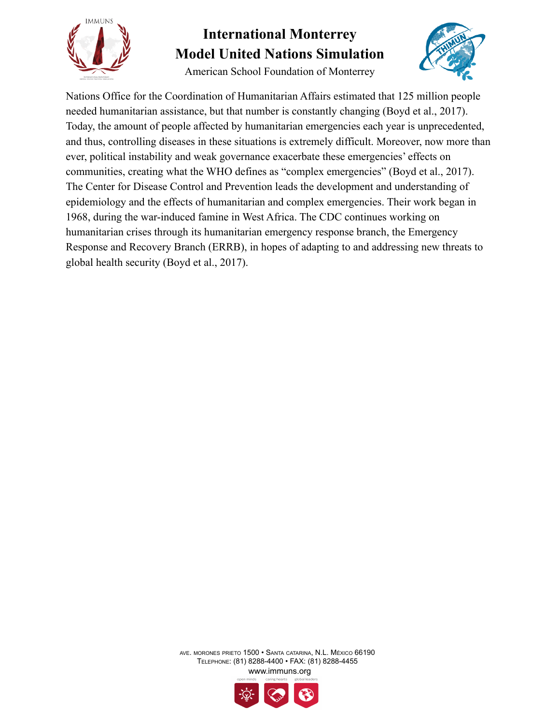

American School Foundation of Monterrey



Nations Office for the Coordination of Humanitarian Affairs estimated that 125 million people needed humanitarian assistance, but that number is constantly changing (Boyd et al., 2017). Today, the amount of people affected by humanitarian emergencies each year is unprecedented, and thus, controlling diseases in these situations is extremely difficult. Moreover, now more than ever, political instability and weak governance exacerbate these emergencies' effects on communities, creating what the WHO defines as "complex emergencies" (Boyd et al., 2017). The Center for Disease Control and Prevention leads the development and understanding of epidemiology and the effects of humanitarian and complex emergencies. Their work began in 1968, during the war-induced famine in West Africa. The CDC continues working on humanitarian crises through its humanitarian emergency response branch, the Emergency Response and Recovery Branch (ERRB), in hopes of adapting to and addressing new threats to global health security (Boyd et al., 2017).

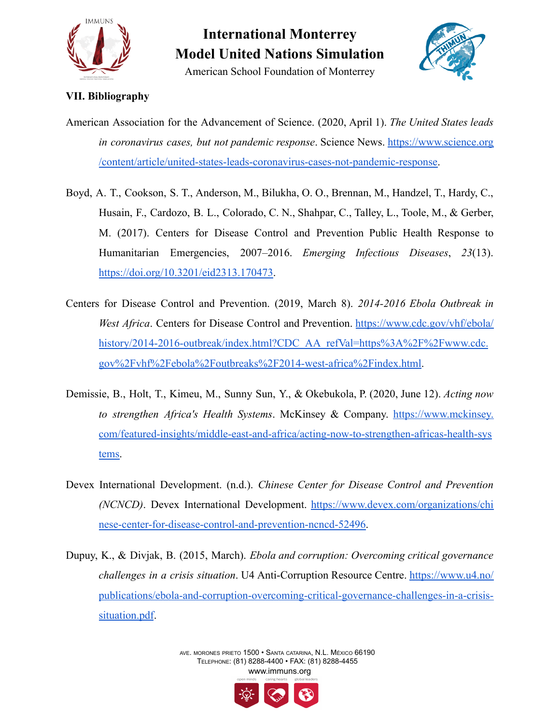

American School Foundation of Monterrey



#### **VII. Bibliography**

American Association for the Advancement of Science. (2020, April 1). *The United States leads in coronavirus cases, but not pandemic response*. Science News. [https://www.science.org](https://www.science.org/content/article/united-states-leads-coronavirus-cases-not-pandemic-response) [/content/article/united-states-leads-coronavirus-cases-not-pandemic-response.](https://www.science.org/content/article/united-states-leads-coronavirus-cases-not-pandemic-response)

- Boyd, A. T., Cookson, S. T., Anderson, M., Bilukha, O. O., Brennan, M., Handzel, T., Hardy, C., Husain, F., Cardozo, B. L., Colorado, C. N., Shahpar, C., Talley, L., Toole, M., & Gerber, M. (2017). Centers for Disease Control and Prevention Public Health Response to Humanitarian Emergencies, 2007–2016. *Emerging Infectious Diseases*, *23*(13). [https://doi.org/10.3201/eid2313.170473.](https://doi.org/10.3201/eid2313.170473)
- Centers for Disease Control and Prevention. (2019, March 8). *2014-2016 Ebola Outbreak in West Africa*. Centers for Disease Control and Prevention. [https://www.cdc.gov/vhf/ebola/](https://www.cdc.gov/vhf/ebola/history/2014-2016-outbreak/index.html?CDC_AA_refVal=https%3A%2F%2Fwww.cdc.gov%2Fvhf%2Febola%2Foutbreaks%2F2014-west-africa%2Findex.html) [history/2014-2016-outbreak/index.html?CDC\\_AA\\_refVal=https%3A%2F%2F](https://www.cdc.gov/vhf/ebola/history/2014-2016-outbreak/index.html?CDC_AA_refVal=https%3A%2F%2Fwww.cdc.gov%2Fvhf%2Febola%2Foutbreaks%2F2014-west-africa%2Findex.html)www.cdc. gov%2Fvhf%2Febola%2Foutbreaks%2F2014-west-africa%2Findex.html.
- Demissie, B., Holt, T., Kimeu, M., Sunny Sun, Y., & Okebukola, P. (2020, June 12). *Acting now to strengthen Africa's Health Systems*. McKinsey & Company. [https://www.mckinsey.](https://www.mckinsey.com/featured-insights/middle-east-and-africa/acting-now-to-strengthen-africas-health-systems) [com/featured-insights/middle-east-and-africa/acting-now-to-strengthen-africas-health-sys](https://www.mckinsey.com/featured-insights/middle-east-and-africa/acting-now-to-strengthen-africas-health-systems) [tems.](https://www.mckinsey.com/featured-insights/middle-east-and-africa/acting-now-to-strengthen-africas-health-systems)
- Devex International Development. (n.d.). *Chinese Center for Disease Control and Prevention (NCNCD)*. Devex International Development. [https://www.devex.com/organizations/chi](https://www.devex.com/organizations/chinese-center-for-disease-control-and-prevention-ncncd-52496) [nese-center-for-disease-control-and-prevention-ncncd-52496](https://www.devex.com/organizations/chinese-center-for-disease-control-and-prevention-ncncd-52496).
- Dupuy, K., & Divjak, B. (2015, March). *Ebola and corruption: Overcoming critical governance challenges in a crisis situation*. U4 Anti-Corruption Resource Centre. [https://www.u4.no/](https://www.u4.no/publications/ebola-and-corruption-overcoming-critical-governance-challenges-in-a-crisis-situation.pdf) [publications/ebola-and-corruption-overcoming-critical-governance-challenges-in-a-crisis](https://www.u4.no/publications/ebola-and-corruption-overcoming-critical-governance-challenges-in-a-crisis-situation.pdf)[situation.pdf](https://www.u4.no/publications/ebola-and-corruption-overcoming-critical-governance-challenges-in-a-crisis-situation.pdf).

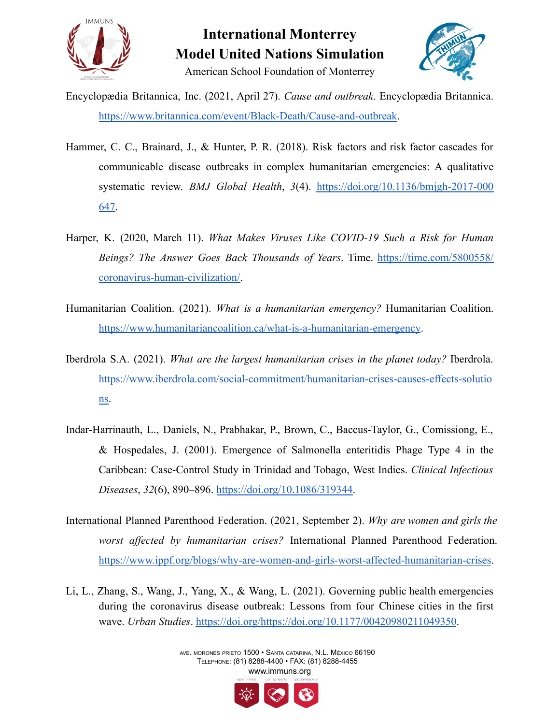



American School Foundation of Monterrey

- Encyclopædia Britannica, Inc. (2021, April 27). *Cause and outbreak*. Encyclopædia Britannica. <https://www.britannica.com/event/Black-Death/Cause-and-outbreak>.
- Hammer, C. C., Brainard, J., & Hunter, P. R. (2018). Risk factors and risk factor cascades for communicable disease outbreaks in complex humanitarian emergencies: A qualitative systematic review. *BMJ Global Health*, *3*(4). [https://doi.org/10.1136/bmjgh-2017-000](https://doi.org/10.1136/bmjgh-2017-000647) [647](https://doi.org/10.1136/bmjgh-2017-000647).
- Harper, K. (2020, March 11). *What Makes Viruses Like COVID-19 Such a Risk for Human Beings? The Answer Goes Back Thousands of Years*. Time. [https://time.com/5800558/](https://time.com/5800558/coronavirus-human-civilization/) [coronavirus-human-civilization/.](https://time.com/5800558/coronavirus-human-civilization/)
- Humanitarian Coalition. (2021). *What is a humanitarian emergency?* Humanitarian Coalition. <https://www.humanitariancoalition.ca/what-is-a-humanitarian-emergency>.
- Iberdrola S.A. (2021). *What are the largest humanitarian crises in the planet today?* Iberdrola. [https://www.iberdrola.com/social-commitment/humanitarian-crises-causes-effects-solutio](https://www.iberdrola.com/social-commitment/humanitarian-crises-causes-effects-solutions) [ns.](https://www.iberdrola.com/social-commitment/humanitarian-crises-causes-effects-solutions)
- Indar-Harrinauth, L., Daniels, N., Prabhakar, P., Brown, C., Baccus-Taylor, G., Comissiong, E., & Hospedales, J. (2001). Emergence of Salmonella enteritidis Phage Type 4 in the Caribbean: Case-Control Study in Trinidad and Tobago, West Indies. *Clinical Infectious Diseases*, *32*(6), 890–896. [https://doi.org/10.1086/319344.](https://doi.org/10.1086/319344)
- International Planned Parenthood Federation. (2021, September 2). *Why are women and girls the worst affected by humanitarian crises?* International Planned Parenthood Federation. <https://www.ippf.org/blogs/why-are-women-and-girls-worst-affected-humanitarian-crises>.
- Li, L., Zhang, S., Wang, J., Yang, X., & Wang, L. (2021). Governing public health emergencies during the coronavirus disease outbreak: Lessons from four Chinese cities in the first wave. *Urban Studies*. <https://doi.org/https://doi.org/10.1177/00420980211049350>.

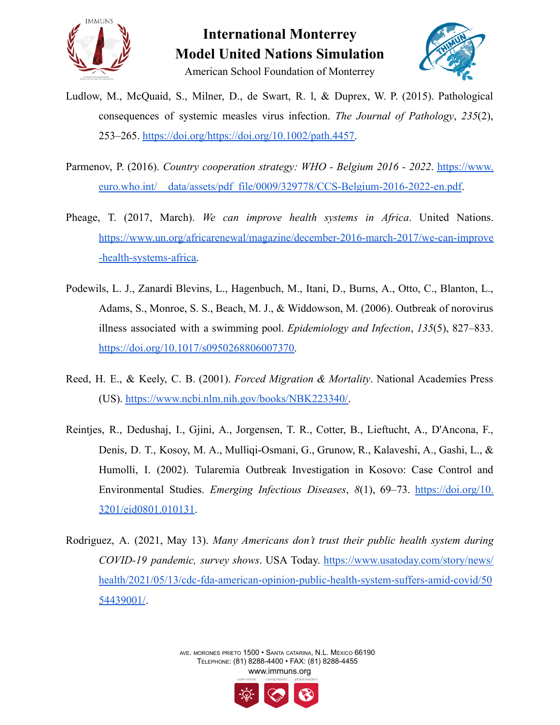



- Ludlow, M., McQuaid, S., Milner, D., de Swart, R. l, & Duprex, W. P. (2015). Pathological consequences of systemic measles virus infection. *The Journal of Pathology*, *235*(2), 253–265. [https://doi.org/https://doi.org/10.1002/path.4457.](https://doi.org/https://doi.org/10.1002/path.4457)
- Parmenov, P. (2016). *Country cooperation strategy: WHO - Belgium 2016 - 2022*. [https://www.](https://www.euro.who.int/__data/assets/pdf_file/0009/329778/CCS-Belgium-2016-2022-en.pdf) euro.who.int/ data/assets/pdf\_file/0009/329778/CCS-Belgium-2016-2022-en.pdf.
- Pheage, T. (2017, March). *We can improve health systems in Africa*. United Nations. [https://www.un.org/africarenewal/magazine/december-2016-march-2017/we-can-improve](https://www.un.org/africarenewal/magazine/december-2016-march-2017/we-can-improve-health-systems-africa) [-health-systems-africa.](https://www.un.org/africarenewal/magazine/december-2016-march-2017/we-can-improve-health-systems-africa)
- Podewils, L. J., Zanardi Blevins, L., Hagenbuch, M., Itani, D., Burns, A., Otto, C., Blanton, L., Adams, S., Monroe, S. S., Beach, M. J., & Widdowson, M. (2006). Outbreak of norovirus illness associated with a swimming pool. *Epidemiology and Infection*, *135*(5), 827–833. [https://doi.org/10.1017/s0950268806007370.](https://doi.org/10.1017/s0950268806007370)
- Reed, H. E., & Keely, C. B. (2001). *Forced Migration & Mortality*. National Academies Press (US). [https://www.ncbi.nlm.nih.gov/books/NBK223340/.](https://www.ncbi.nlm.nih.gov/books/NBK223340/)
- Reintjes, R., Dedushaj, I., Gjini, A., Jorgensen, T. R., Cotter, B., Lieftucht, A., D'Ancona, F., Denis, D. T., Kosoy, M. A., Mulliqi-Osmani, G., Grunow, R., Kalaveshi, A., Gashi, L., & Humolli, I. (2002). Tularemia Outbreak Investigation in Kosovo: Case Control and Environmental Studies. *Emerging Infectious Diseases*, *8*(1), 69–73. [https://doi.org/10.](https://doi.org/10.3201/eid0801.010131) [3201/eid0801.010131.](https://doi.org/10.3201/eid0801.010131)
- Rodriguez, A. (2021, May 13). *Many Americans don't trust their public health system during COVID-19 pandemic, survey shows*. USA Today. [https://www.usatoday.com/story/news/](https://www.usatoday.com/story/news/health/2021/05/13/cdc-fda-american-opinion-public-health-system-suffers-amid-covid/5054439001/) [health/2021/05/13/cdc-fda-american-opinion-public-health-system-suffers-amid-covid/50](https://www.usatoday.com/story/news/health/2021/05/13/cdc-fda-american-opinion-public-health-system-suffers-amid-covid/5054439001/) [54439001/](https://www.usatoday.com/story/news/health/2021/05/13/cdc-fda-american-opinion-public-health-system-suffers-amid-covid/5054439001/).

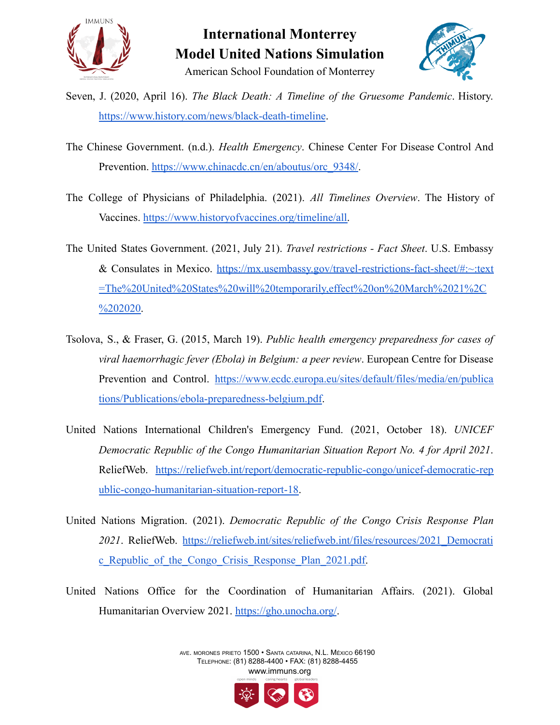



Seven, J. (2020, April 16). *The Black Death: A Timeline of the Gruesome Pandemic*. History. <https://www.history.com/news/black-death-timeline>.

- The Chinese Government. (n.d.). *Health Emergency*. Chinese Center For Disease Control And Prevention. [https://www.chinacdc.cn/en/aboutus/orc\\_9348/.](https://www.chinacdc.cn/en/aboutus/orc_9348/)
- The College of Physicians of Philadelphia. (2021). *All Timelines Overview*. The History of Vaccines. [https://www.historyofvaccines.org/timeline/all.](https://www.historyofvaccines.org/timeline/all)
- The United States Government. (2021, July 21). *Travel restrictions - Fact Sheet*. U.S. Embassy & Consulates in Mexico. [https://mx.usembassy.gov/travel-restrictions-fact-sheet/#:~:text](https://mx.usembassy.gov/travel-restrictions-fact-sheet/#:~:text=The%20United%20States%20will%20temporarily,effect%20on%20March%2021%2C%202020) [=The%20United%20States%20will%20temporarily,effect%20on%20March%2021%2C](https://mx.usembassy.gov/travel-restrictions-fact-sheet/#:~:text=The%20United%20States%20will%20temporarily,effect%20on%20March%2021%2C%202020)  $\frac{6202020}{20}$
- Tsolova, S., & Fraser, G. (2015, March 19). *Public health emergency preparedness for cases of viral haemorrhagic fever (Ebola) in Belgium: a peer review*. European Centre for Disease Prevention and Control. [https://www.ecdc.europa.eu/sites/default/files/media/en/publica](https://www.ecdc.europa.eu/sites/default/files/media/en/publications/Publications/ebola-preparedness-belgium.pdf) [tions/Publications/ebola-preparedness-belgium.pdf](https://www.ecdc.europa.eu/sites/default/files/media/en/publications/Publications/ebola-preparedness-belgium.pdf).
- United Nations International Children's Emergency Fund. (2021, October 18). *UNICEF Democratic Republic of the Congo Humanitarian Situation Report No. 4 for April 2021*. ReliefWeb. [https://reliefweb.int/report/democratic-republic-congo/unicef-democratic-rep](https://reliefweb.int/report/democratic-republic-congo/unicef-democratic-republic-congo-humanitarian-situation-report-18) [ublic-congo-humanitarian-situation-report-18.](https://reliefweb.int/report/democratic-republic-congo/unicef-democratic-republic-congo-humanitarian-situation-report-18)
- United Nations Migration. (2021). *Democratic Republic of the Congo Crisis Response Plan* 2021. ReliefWeb. [https://reliefweb.int/sites/reliefweb.int/files/resources/2021\\_Democrati](https://reliefweb.int/sites/reliefweb.int/files/resources/2021_Democratic_Republic_of_the_Congo_Crisis_Response_Plan_2021.pdf) [c\\_Republic\\_of\\_the\\_Congo\\_Crisis\\_Response\\_Plan\\_2021.pdf.](https://reliefweb.int/sites/reliefweb.int/files/resources/2021_Democratic_Republic_of_the_Congo_Crisis_Response_Plan_2021.pdf)
- United Nations Office for the Coordination of Humanitarian Affairs. (2021). Global Humanitarian Overview 2021. <https://gho.unocha.org/>.

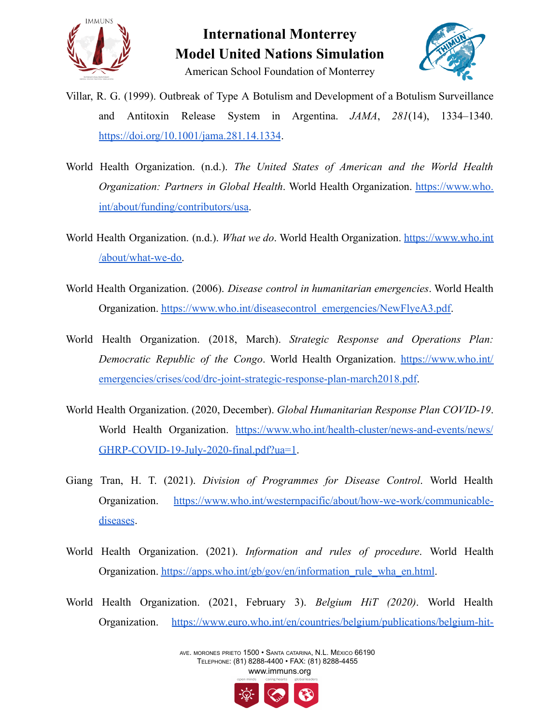



American School Foundation of Monterrey

- Villar, R. G. (1999). Outbreak of Type A Botulism and Development of a Botulism Surveillance and Antitoxin Release System in Argentina. *JAMA*, *281*(14), 1334–1340. <https://doi.org/10.1001/jama.281.14.1334>.
- World Health Organization. (n.d.). *The United States of American and the World Health Organization: Partners in Global Health*. World Health Organization. [https://www.who.](https://www.who.int/about/funding/contributors/usa) [int/about/funding/contributors/usa.](https://www.who.int/about/funding/contributors/usa)
- World Health Organization. (n.d.). *What we do*. World Health Organization. [https://www.who.int](https://www.who.int/about/what-we-do) [/about/what-we-do.](https://www.who.int/about/what-we-do)
- World Health Organization. (2006). *Disease control in humanitarian emergencies*. World Health Organization. [https://www.who.int/diseasecontrol\\_emergencies/NewFlyeA3.pdf](https://www.who.int/diseasecontrol_emergencies/NewFlyeA3.pdf).
- World Health Organization. (2018, March). *Strategic Response and Operations Plan: Democratic Republic of the Congo*. World Health Organization. [https://www.who.int/](https://www.who.int/emergencies/crises/cod/drc-joint-strategic-response-plan-march2018.pdf) [emergencies/crises/cod/drc-joint-strategic-response-plan-march2018.pdf.](https://www.who.int/emergencies/crises/cod/drc-joint-strategic-response-plan-march2018.pdf)
- World Health Organization. (2020, December). *Global Humanitarian Response Plan COVID-19*. World Health Organization. [https://www.who.int/health-cluster/news-and-events/news/](https://www.who.int/health-cluster/news-and-events/news/GHRP-COVID-19-July-2020-final.pdf?ua=1) [GHRP-COVID-19-July-2020-final.pdf?ua=1](https://www.who.int/health-cluster/news-and-events/news/GHRP-COVID-19-July-2020-final.pdf?ua=1).
- Giang Tran, H. T. (2021). *Division of Programmes for Disease Control*. World Health Organization. [https://www.who.int/westernpacific/about/how-we-work/communicable](https://www.who.int/westernpacific/about/how-we-work/communicable-diseases)[diseases](https://www.who.int/westernpacific/about/how-we-work/communicable-diseases).
- World Health Organization. (2021). *Information and rules of procedure*. World Health Organization. [https://apps.who.int/gb/gov/en/information\\_rule\\_wha\\_en.html](https://apps.who.int/gb/gov/en/information_rule_wha_en.html).
- World Health Organization. (2021, February 3). *Belgium HiT (2020)*. World Health Organization. [https://www.euro.who.int/en/countries/belgium/publications/belgium-hit-](https://www.euro.who.int/en/countries/belgium/publications/belgium-hit-2020#:~:text=Health%20expenditure%20in%20Belgium%20is%20high%20at%20over%2010%25%20of%20GDP&text=Current%20health%20expenditure%20as%20a,capita%20was%20US%24PPP%205119)